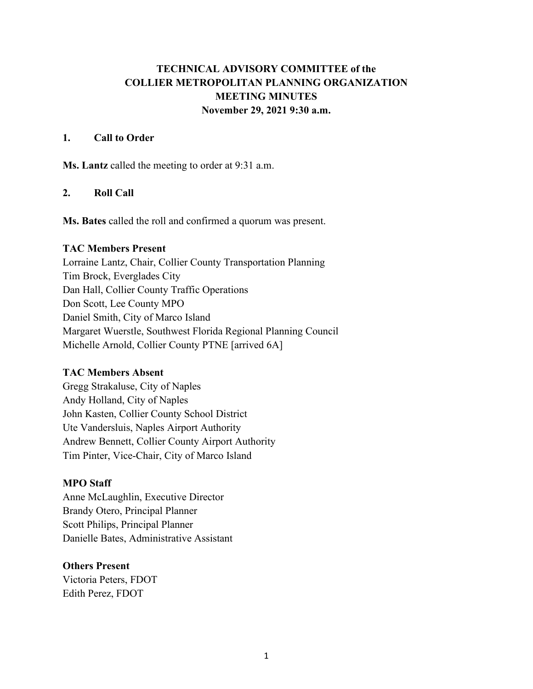# **TECHNICAL ADVISORY COMMITTEE of the COLLIER METROPOLITAN PLANNING ORGANIZATION MEETING MINUTES November 29, 2021 9:30 a.m.**

## **1. Call to Order**

**Ms. Lantz** called the meeting to order at 9:31 a.m.

# **2. Roll Call**

**Ms. Bates** called the roll and confirmed a quorum was present.

#### **TAC Members Present**

Lorraine Lantz, Chair, Collier County Transportation Planning Tim Brock, Everglades City Dan Hall, Collier County Traffic Operations Don Scott, Lee County MPO Daniel Smith, City of Marco Island Margaret Wuerstle, Southwest Florida Regional Planning Council Michelle Arnold, Collier County PTNE [arrived 6A]

## **TAC Members Absent**

Gregg Strakaluse, City of Naples Andy Holland, City of Naples John Kasten, Collier County School District Ute Vandersluis, Naples Airport Authority Andrew Bennett, Collier County Airport Authority Tim Pinter, Vice-Chair, City of Marco Island

## **MPO Staff**

Anne McLaughlin, Executive Director Brandy Otero, Principal Planner Scott Philips, Principal Planner Danielle Bates, Administrative Assistant

## **Others Present**

Victoria Peters, FDOT Edith Perez, FDOT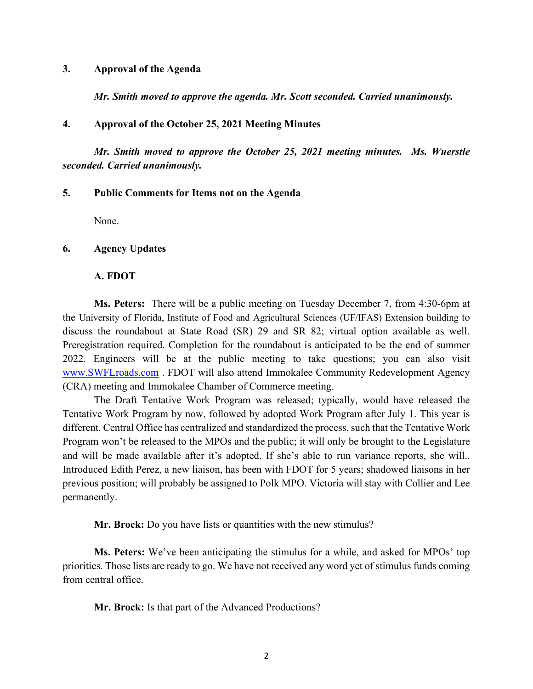#### **3. Approval of the Agenda**

*Mr. Smith moved to approve the agenda. Mr. Scott seconded. Carried unanimously.*

#### **4. Approval of the October 25, 2021 Meeting Minutes**

*Mr. Smith moved to approve the October 25, 2021 meeting minutes. Ms. Wuerstle seconded. Carried unanimously.*

# **5. Public Comments for Items not on the Agenda**

None.

#### **6. Agency Updates**

#### **A. FDOT**

**Ms. Peters:** There will be a public meeting on Tuesday December 7, from 4:30-6pm at the University of Florida, Institute of Food and Agricultural Sciences (UF/IFAS) Extension building to discuss the roundabout at State Road (SR) 29 and SR 82; virtual option available as well. Preregistration required. Completion for the roundabout is anticipated to be the end of summer 2022. Engineers will be at the public meeting to take questions; you can also visit [www.SWFLroads.com](http://www.swflroads.com/) . FDOT will also attend Immokalee Community Redevelopment Agency (CRA) meeting and Immokalee Chamber of Commerce meeting.

The Draft Tentative Work Program was released; typically, would have released the Tentative Work Program by now, followed by adopted Work Program after July 1. This year is different. Central Office has centralized and standardized the process, such that the Tentative Work Program won't be released to the MPOs and the public; it will only be brought to the Legislature and will be made available after it's adopted. If she's able to run variance reports, she will.. Introduced Edith Perez, a new liaison, has been with FDOT for 5 years; shadowed liaisons in her previous position; will probably be assigned to Polk MPO. Victoria will stay with Collier and Lee permanently.

**Mr. Brock:** Do you have lists or quantities with the new stimulus?

**Ms. Peters:** We've been anticipating the stimulus for a while, and asked for MPOs' top priorities. Those lists are ready to go. We have not received any word yet of stimulus funds coming from central office.

**Mr. Brock:** Is that part of the Advanced Productions?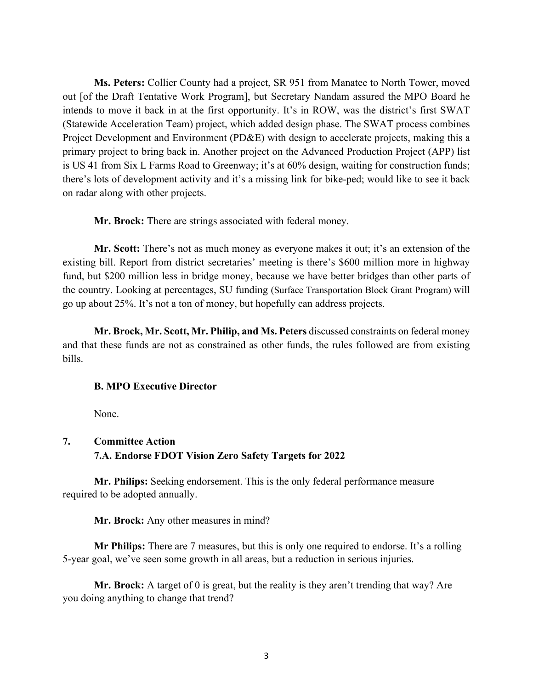**Ms. Peters:** Collier County had a project, SR 951 from Manatee to North Tower, moved out [of the Draft Tentative Work Program], but Secretary Nandam assured the MPO Board he intends to move it back in at the first opportunity. It's in ROW, was the district's first SWAT (Statewide Acceleration Team) project, which added design phase. The SWAT process combines Project Development and Environment (PD&E) with design to accelerate projects, making this a primary project to bring back in. Another project on the Advanced Production Project (APP) list is US 41 from Six L Farms Road to Greenway; it's at 60% design, waiting for construction funds; there's lots of development activity and it's a missing link for bike-ped; would like to see it back on radar along with other projects.

**Mr. Brock:** There are strings associated with federal money.

**Mr. Scott:** There's not as much money as everyone makes it out; it's an extension of the existing bill. Report from district secretaries' meeting is there's \$600 million more in highway fund, but \$200 million less in bridge money, because we have better bridges than other parts of the country. Looking at percentages, SU funding (Surface Transportation Block Grant Program) will go up about 25%. It's not a ton of money, but hopefully can address projects.

**Mr. Brock, Mr. Scott, Mr. Philip, and Ms. Peters** discussed constraints on federal money and that these funds are not as constrained as other funds, the rules followed are from existing bills.

#### **B. MPO Executive Director**

None.

# **7. Committee Action 7.A. Endorse FDOT Vision Zero Safety Targets for 2022**

**Mr. Philips:** Seeking endorsement. This is the only federal performance measure required to be adopted annually.

**Mr. Brock:** Any other measures in mind?

**Mr Philips:** There are 7 measures, but this is only one required to endorse. It's a rolling 5-year goal, we've seen some growth in all areas, but a reduction in serious injuries.

**Mr. Brock:** A target of 0 is great, but the reality is they aren't trending that way? Are you doing anything to change that trend?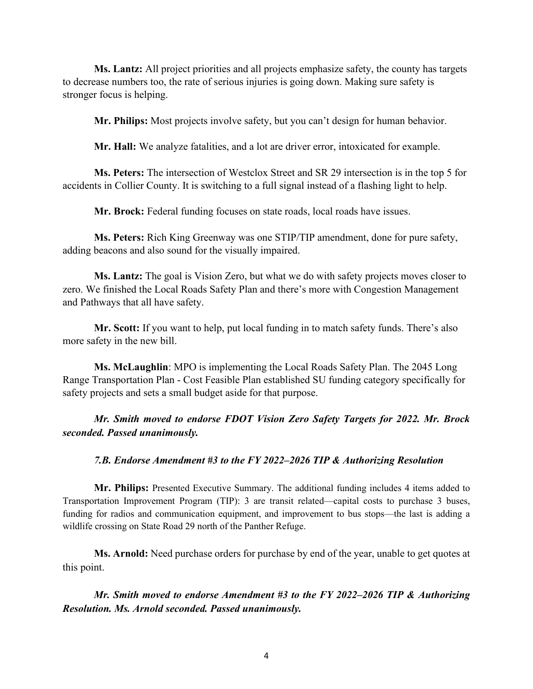**Ms. Lantz:** All project priorities and all projects emphasize safety, the county has targets to decrease numbers too, the rate of serious injuries is going down. Making sure safety is stronger focus is helping.

**Mr. Philips:** Most projects involve safety, but you can't design for human behavior.

**Mr. Hall:** We analyze fatalities, and a lot are driver error, intoxicated for example.

**Ms. Peters:** The intersection of Westclox Street and SR 29 intersection is in the top 5 for accidents in Collier County. It is switching to a full signal instead of a flashing light to help.

**Mr. Brock:** Federal funding focuses on state roads, local roads have issues.

**Ms. Peters:** Rich King Greenway was one STIP/TIP amendment, done for pure safety, adding beacons and also sound for the visually impaired.

**Ms. Lantz:** The goal is Vision Zero, but what we do with safety projects moves closer to zero. We finished the Local Roads Safety Plan and there's more with Congestion Management and Pathways that all have safety.

**Mr. Scott:** If you want to help, put local funding in to match safety funds. There's also more safety in the new bill.

**Ms. McLaughlin**: MPO is implementing the Local Roads Safety Plan. The 2045 Long Range Transportation Plan - Cost Feasible Plan established SU funding category specifically for safety projects and sets a small budget aside for that purpose.

*Mr. Smith moved to endorse FDOT Vision Zero Safety Targets for 2022. Mr. Brock seconded. Passed unanimously.*

*7.B. Endorse Amendment #3 to the FY 2022–2026 TIP & Authorizing Resolution*

**Mr. Philips:** Presented Executive Summary. The additional funding includes 4 items added to Transportation Improvement Program (TIP): 3 are transit related—capital costs to purchase 3 buses, funding for radios and communication equipment, and improvement to bus stops—the last is adding a wildlife crossing on State Road 29 north of the Panther Refuge.

**Ms. Arnold:** Need purchase orders for purchase by end of the year, unable to get quotes at this point.

*Mr. Smith moved to endorse Amendment #3 to the FY 2022–2026 TIP & Authorizing Resolution. Ms. Arnold seconded. Passed unanimously.*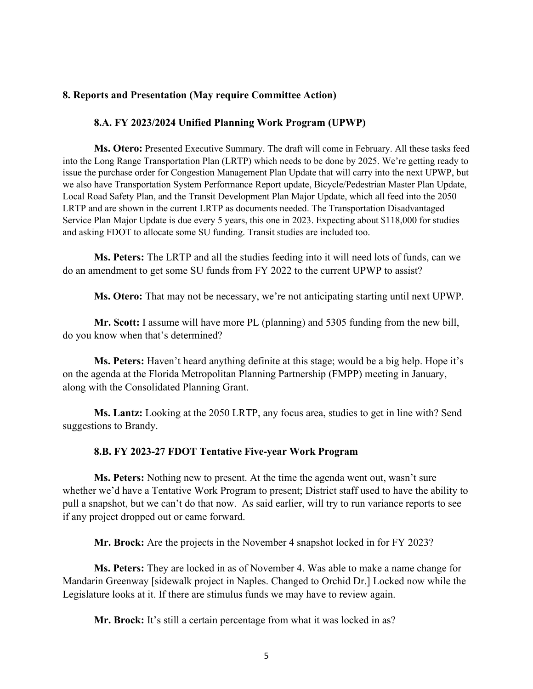# **8. Reports and Presentation (May require Committee Action)**

#### **8.A. FY 2023/2024 Unified Planning Work Program (UPWP)**

**Ms. Otero:** Presented Executive Summary. The draft will come in February. All these tasks feed into the Long Range Transportation Plan (LRTP) which needs to be done by 2025. We're getting ready to issue the purchase order for Congestion Management Plan Update that will carry into the next UPWP, but we also have Transportation System Performance Report update, Bicycle/Pedestrian Master Plan Update, Local Road Safety Plan, and the Transit Development Plan Major Update, which all feed into the 2050 LRTP and are shown in the current LRTP as documents needed. The Transportation Disadvantaged Service Plan Major Update is due every 5 years, this one in 2023. Expecting about \$118,000 for studies and asking FDOT to allocate some SU funding. Transit studies are included too.

**Ms. Peters:** The LRTP and all the studies feeding into it will need lots of funds, can we do an amendment to get some SU funds from FY 2022 to the current UPWP to assist?

**Ms. Otero:** That may not be necessary, we're not anticipating starting until next UPWP.

**Mr. Scott:** I assume will have more PL (planning) and 5305 funding from the new bill, do you know when that's determined?

**Ms. Peters:** Haven't heard anything definite at this stage; would be a big help. Hope it's on the agenda at the Florida Metropolitan Planning Partnership (FMPP) meeting in January, along with the Consolidated Planning Grant.

**Ms. Lantz:** Looking at the 2050 LRTP, any focus area, studies to get in line with? Send suggestions to Brandy.

#### **8.B. FY 2023-27 FDOT Tentative Five-year Work Program**

**Ms. Peters:** Nothing new to present. At the time the agenda went out, wasn't sure whether we'd have a Tentative Work Program to present; District staff used to have the ability to pull a snapshot, but we can't do that now. As said earlier, will try to run variance reports to see if any project dropped out or came forward.

**Mr. Brock:** Are the projects in the November 4 snapshot locked in for FY 2023?

**Ms. Peters:** They are locked in as of November 4. Was able to make a name change for Mandarin Greenway [sidewalk project in Naples. Changed to Orchid Dr.] Locked now while the Legislature looks at it. If there are stimulus funds we may have to review again.

**Mr. Brock:** It's still a certain percentage from what it was locked in as?